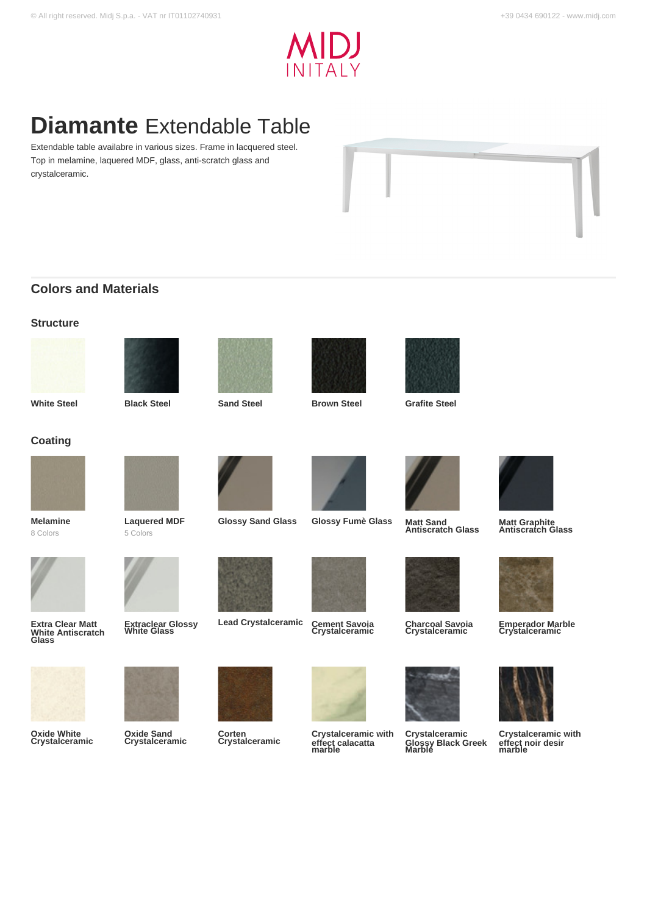

# **Diamante** Extendable Table

Extendable table availabre in various sizes. Frame in lacquered steel. Top in melamine, laquered MDF, glass, anti-scratch glass and crystalceramic.



## **Colors and Materials**

| <b>White Steel</b> | <b>Black Steel</b> | <b>Sand Steel</b> | <b>Brown Steel</b> | <b>Grafite Steel</b> |
|--------------------|--------------------|-------------------|--------------------|----------------------|
|                    |                    |                   |                    |                      |
|                    |                    |                   |                    |                      |
|                    |                    |                   |                    |                      |
| <b>Structure</b>   |                    |                   |                    |                      |







**Antiscratch Glass**

**Coating**



**Melamine** 8 Colors





**Lead Crystalceramic** 



**Glossy Sand Glass Glossy Fumè Glass** 







**Charcoal Savoia Crystalceramic**

**Crystalceramic Glossy Black Greek Marble**



**Matt Graphite Antiscratch Glass**



**Emperador Marble Crystalceramic**



**Crystalceramic with effect noir desir marble**



**Extra Clear Matt** 

**Oxide White Crystalceramic**

**Extraclear Glossy White Glass**

**Oxide Sand Crystalceramic**



**Corten Crystalceramic**

**Crystalceramic with effect calacatta marble**